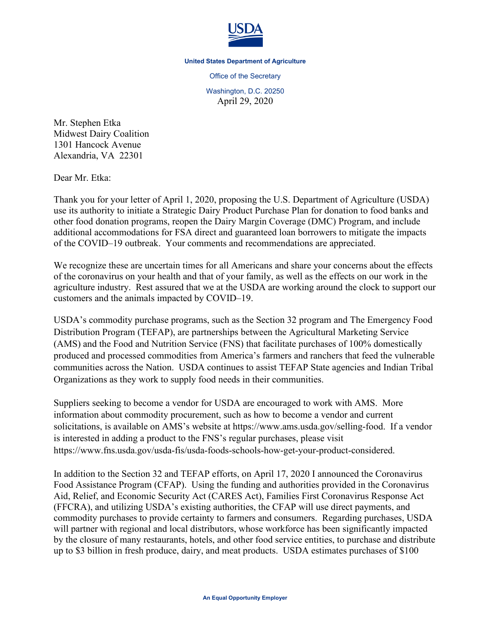

## **United States Department of Agriculture**

Office of the Secretary

Washington, D.C. 20250 April 29, 2020

Mr. Stephen Etka Midwest Dairy Coalition 1301 Hancock Avenue Alexandria, VA 22301

Dear Mr. Etka:

Thank you for your letter of April 1, 2020, proposing the U.S. Department of Agriculture (USDA) use its authority to initiate a Strategic Dairy Product Purchase Plan for donation to food banks and other food donation programs, reopen the Dairy Margin Coverage (DMC) Program, and include additional accommodations for FSA direct and guaranteed loan borrowers to mitigate the impacts of the COVID–19 outbreak. Your comments and recommendations are appreciated.

We recognize these are uncertain times for all Americans and share your concerns about the effects of the coronavirus on your health and that of your family, as well as the effects on our work in the agriculture industry. Rest assured that we at the USDA are working around the clock to support our customers and the animals impacted by COVID–19.

USDA's commodity purchase programs, such as the Section 32 program and The Emergency Food Distribution Program (TEFAP), are partnerships between the Agricultural Marketing Service (AMS) and the Food and Nutrition Service (FNS) that facilitate purchases of 100% domestically produced and processed commodities from America's farmers and ranchers that feed the vulnerable communities across the Nation. USDA continues to assist TEFAP State agencies and Indian Tribal Organizations as they work to supply food needs in their communities.

Suppliers seeking to become a vendor for USDA are encouraged to work with AMS. More information about commodity procurement, such as how to become a vendor and current solicitations, is available on AMS's website at [https://www.ams.usda.gov/selling-food.](https://www.ams.usda.gov/selling-food) If a vendor is interested in adding a product to the FNS's regular purchases, please visit [https://www.fns.usda.gov/usda-fis/usda-foods-schools-how-get-your-product-considered.](https://www.fns.usda.gov/usda-fis/usda-foods-schools-how-get-your-product-considered)

In addition to the Section 32 and TEFAP efforts, on April 17, 2020 I announced the Coronavirus Food Assistance Program (CFAP). Using the funding and authorities provided in the Coronavirus Aid, Relief, and Economic Security Act (CARES Act), Families First Coronavirus Response Act (FFCRA), and utilizing USDA's existing authorities, the CFAP will use direct payments, and commodity purchases to provide certainty to farmers and consumers. Regarding purchases, USDA will partner with regional and local distributors, whose workforce has been significantly impacted by the closure of many restaurants, hotels, and other food service entities, to purchase and distribute up to \$3 billion in fresh produce, dairy, and meat products. USDA estimates purchases of \$100